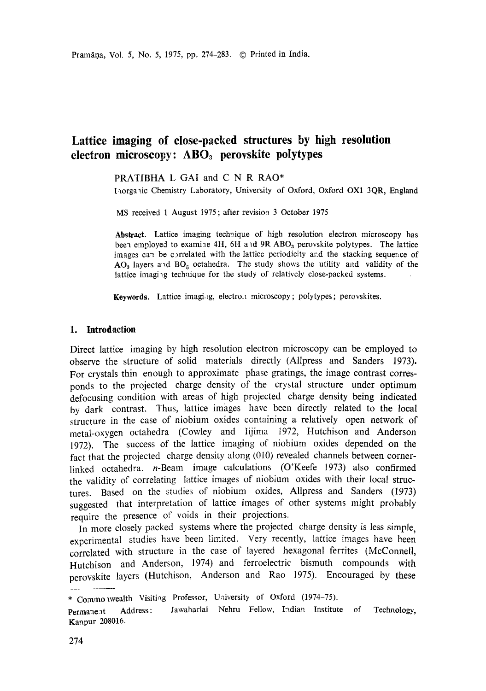# **Lattice imaging of close-packed structures by high resolution electron microscopy: AB03 perovskite polytypes**

PRATIBHA L GAI and C N R RAO\*

Inorganic Chemistry Laboratory, University of Oxford, Oxford OX1 3QR, England

MS received 1 August I975 ; after revision 3 October 1975

**Abstract.** Lattice imaging technique of high resolution electron microscopy has been employed to examine 4H,  $6H$  and  $9R$  ABO<sub>3</sub> perovskite polytypes. The lattice images can be c)rrelated with the lattice periodicity arid the stacking sequence of AO<sub>3</sub> layers and BO<sub>3</sub> octahedra. The study shows the utility and validity of the lattice imaging technique for the study of relatively close-packed systems.

**Keywords.** Lattice imaging, electron microscopy; polytypes; perovskites.

# **1. Introdaction**

Direct lattice imaging by high resolution electron microscopy can be employed to observe the structure of solid materials directly (Allpress and Sanders 1973). For crystals thin enough to approximate phase gratings, the image contrast corresponds to the projected charge density of the crystal structure under optimum defocusing condition with areas of high projected charge density being indicated by dark contrast. Thus, lattice images have been directly related to the local structure in the case of niobium oxides containing a relatively open network of metal-oxygen octahedra (Cowley and Iijima 1972, Hutchison and Anderson 1972). The success of the lattice imaging of niobium oxides depended on the fact that the projected charge density along (010) revealed channels between cornerlinked octahedra, n-Beam image calculations (O'Keefe 1973) also confirmed the validity of correlating lattice images of niobium oxides with their local structures. Based on the studies of niobium oxides, Allpress and Sanders (1973) suggested that interpretation of lattice images of other systems might probably require the presence of voids in their projections.

In more closely packed systems where the projected charge density is less simple, experimental studies have been limited. Very recently, lattice images have been correlated with structure in the case of layered hexagonal ferrites (McConnell, Hutchison and Anderson, 1974) and ferroelectric bismuth compounds with perovskite layers (Hutchison, Anderson and Rao 1975). Encouraged by these

<sup>\*</sup> Commonwealth Visiting Professor, University of Oxford (1974-75).

Permanent Address: Jawaharlal Nehru Fellow, Indian Institute of Technology, Kanpur 208016.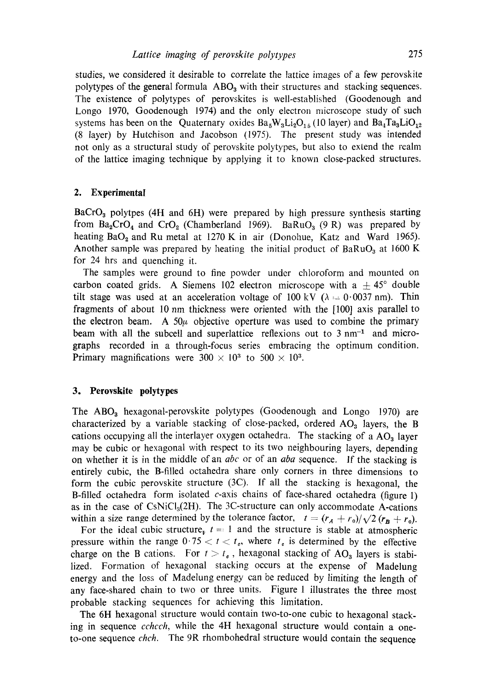studies, we considered it desirable to correlate the lattice images of a few perovskite polytypes of the general formula  $\text{ABO}_3$  with their structures and stacking sequences. The existence of polytypes of perovskites is well-established (Goodenough and Longo 1970, Goodenough 1974) and the only electron microscope study of such systems has been on the Quaternary oxides  $Ba_5W_3Li_2O_{15}$  (10 layer) and  $Ba_4Ta_3LiO_{12}$ (8 layer) by Hutchison and Jacobson (1975). The present study was intended not only as a structural study of perovskite polytypes, but also to extend the realm of the lattice imaging technique by applying it to known close-packed structures.

# **2. Experimental**

 $BaCrO<sub>3</sub>$  polytpes (4H and 6H) were prepared by high pressure synthesis starting from  $Ba_2CrO_4$  and  $CrO_2$  (Chamberland 1969). BaRuO<sub>3</sub> (9 R) was prepared by heating  $BaO<sub>2</sub>$  and Ru metal at 1270 K in air (Donohue, Katz and Ward 1965). Another sample was prepared by heating the initial product of  $BaRuO<sub>3</sub>$  at 1600 K for 24 hrs and quenching it.

The samples were ground to fine powder under chloroform and mounted on carbon coated grids. A Siemens 102 electron microscope with a  $\pm$  45° double tilt stage was used at an acceleration voltage of 100 kV ( $\lambda = 0.0037$  nm). Thin fragments of about 10 nm thickness were oriented with the [100] axis parallel to the electron beam. A  $50\mu$  objective operture was used to combine the primary beam with all the subcell and superlattice reflexions out to  $3 \text{ nm}^{-1}$  and micrographs recorded in a through-focus series embracing the optimum condition. Primary magnifications were  $300 \times 10^3$  to  $500 \times 10^3$ .

### **3. Perovskite polytypes**

The  $\text{ABO}_3$  hexagonal-perovskite polytypes (Goodenough and Longo 1970) are characterized by a variable stacking of close-packed, ordered  $AO<sub>3</sub>$  layers, the B cations occupying all the interlayer oxygen octahedra. The stacking of a  $AO<sub>a</sub>$  layer may be cubic or hexagonal with respect to its two neighbouring layers, depending on whether it is in the middle of an *abc* or of an *aba* sequence. If the stacking is entirely cubic, the B-filled octahedra share only corners in three dimensions to form the cubic perovskite structure (3C). If all the stacking is hexagonal, the B-filled octahedra form isolated c-axis chains of face-shared octahedra (figure 1) as in the case of  $\text{CNiCl}_3(2H)$ . The 3C-structure can only accommodate A-cations within a size range determined by the tolerance factor,  $t = (r_A + r_0)/\sqrt{2} (r_B + r_0)$ .

For the ideal cubic structure<sub> $v$ </sub>  $t = 1$  and the structure is stable at atmospheric pressure within the range  $0.75 < t < t_o$ , where  $t_o$  is determined by the effective charge on the B cations. For  $t > t_c$ , hexagonal stacking of AO<sub>3</sub> layers is stabilized. Formation of hexagonal stacking occurs at the expense of Madelung energy and the loss of Madelung energy can be reduced by limiting the length of any face-shared chain to two or three units. Figure 1 illustrates the three most probable stacking sequences for achieving this limitation.

The 6H hexagonal structure would contain two-to-one cubic to hexagonal stacking in sequence *cchcch,* while the 4H hexagonal structure would contain a oneto-one sequence *chch.* The 9R rhombohedral structure would contain the sequence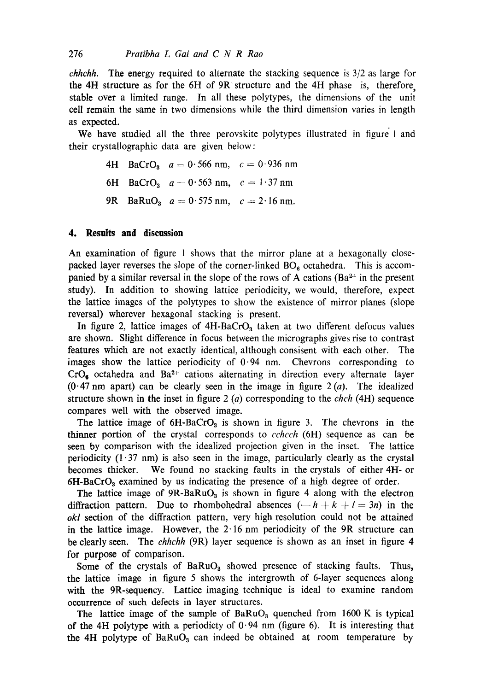*chhchh.* The energy required to alternate the stacking sequence is 3/2 as large for the 4H structure as for the 6H of 9R structure and the 4H phase is, therefore, stable over a limited range. In all these polytypes, the dimensions of the unit cell remain the same in two dimensions while the third dimension varies in length as expected.

We have studied all the three perovskite polytypes illustrated in figure I and their crystallographic data are given below:

> 4H BaCrO<sub>3</sub>  $a = 0.566$  nm,  $c = 0.936$  nm 6H BaCrO<sub>3</sub>  $a = 0.563$  nm,  $c = 1.37$  nm 9R BaRuO<sub>3</sub>  $a = 0.575$  nm,  $c = 2.16$  nm.

# **4. Results and discussion**

An examination of figure 1 shows that the mirror plane at a hexagonally closepacked layer reverses the slope of the corner-linked  $BO<sub>6</sub>$  octahedra. This is accompanied by a similar reversal in the slope of the rows of A cations ( $Ba^{2+}$  in the present study). In addition to showing lattice periodicity, we would, therefore, expect the lattice images of the polytypes to show the existence of mirror planes (slope reversal) wherever hexagonal stacking is present.

In figure 2, lattice images of  $4H-BaCrO<sub>3</sub>$  taken at two different defocus values are shown. Slight difference in focus between the micrographs gives rise to contrast features which are not exactly identical, although consisent with each other. The images show the lattice periodicity of  $0.94$  nm. Chevrons corresponding to  $CrO<sub>6</sub>$  octahedra and Ba<sup>2+</sup> cations alternating in direction every alternate layer  $(0.47 \text{ nm}$  apart) can be clearly seen in the image in figure  $2(a)$ . The idealized structure shown in the inset in figure 2 (a) corresponding to the *chch* (4H) sequence compares well with the observed image.

The lattice image of  $6H-BaCrO<sub>3</sub>$  is shown in figure 3. The chevrons in the thinner portion of the crystal corresponds to *cchcch* (6H) sequence as can be seen by comparison with the idealized projection given in the inset. The lattice periodicity  $(1\cdot37 \text{ nm})$  is also seen in the image, particularly clearly as the crystal becomes thicker. We found no stacking faults in the crystals of either 4H- or  $6H-BaCrO<sub>3</sub>$  examined by us indicating the presence of a high degree of order.

The lattice image of  $9R-BaRuO<sub>3</sub>$  is shown in figure 4 along with the electron diffraction pattern. Due to rhombohedral absences  $(-h + k + l = 3n)$  in the *okl* section of the diffraction pattern, very high resolution could not be attained in the lattice image. However, the  $2.16$  nm periodicity of the 9R structure can be clearly seen. The *chhchh* (9R) layer sequence is shown as an inset in figure 4 for purpose of comparison.

Some of the crystals of  $BaRuO<sub>3</sub>$  showed presence of stacking faults. Thus, the lattice image in figure 5 shows the intergrowth of 6-layer sequences along with the 9R-sequency. Lattice imaging technique is ideal to examine random occurrence of such defects in layer structures.

The lattice image of the sample of  $BaRuO<sub>3</sub>$  quenched from 1600 K is typical of the 4H polytype with a periodicty of  $0.94$  nm (figure 6). It is interesting that the 4H polytype of  $BaRuO<sub>3</sub>$  can indeed be obtained at room temperature by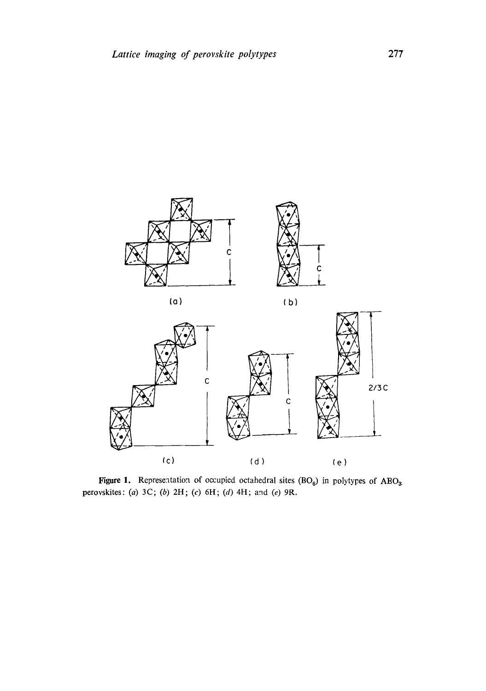



Figure 1. Representation of occupied octahedral sites  $(BO_6)$  in polytypes of  $ABO_3$ . perovskites: (a) 3C; (b) 2H; (c) 6H; (d) 4H; and (e) 9R.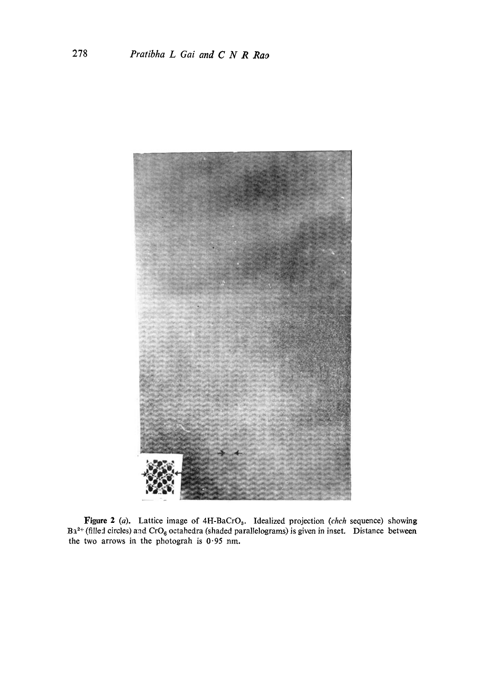

Figure 2 (a). Lattice image of 4H-BaCrO<sub>3</sub>. Idealized projection *(chch* sequence) showing  $Ba^{2+}$  (filled circles) and CrO<sub>6</sub> octahedra (shaded parallelograms) is given in inset. Distance between the two arrows in the photograh is  $0.95$  nm.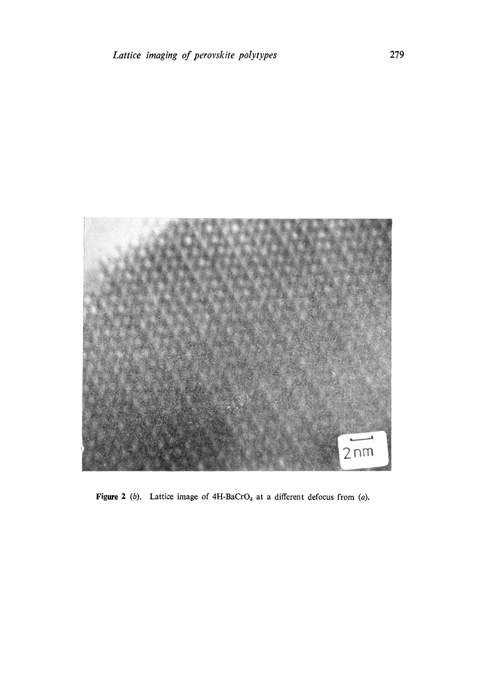

Figure 2 (b). Lattice image of  $4H-BaCrO<sub>3</sub>$  at a different defocus from (a).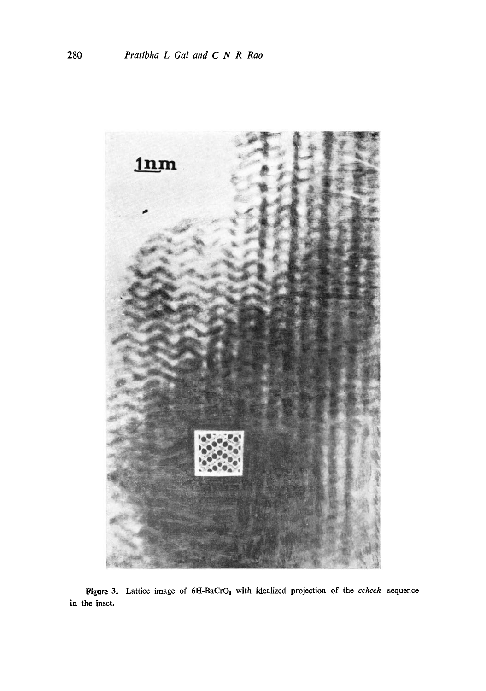

Figure 3. Lattice image of 6H-BaCrO<sub>3</sub> with idealized projection of the *cchcch* sequence in the inset.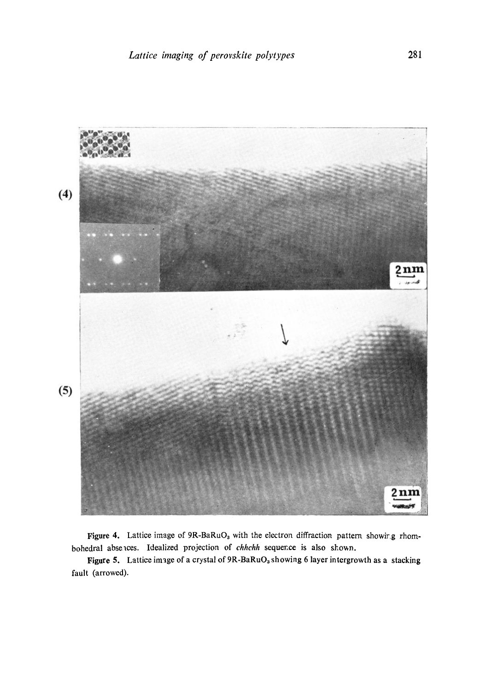

Figure 4. Lattice image of  $9R-BaRuO<sub>3</sub>$  with the electron diffraction pattern showirg rhombohedral abselces. Idealized projection of *chhchh* sequence is also shown.

Figure 5. Lattice image of a crystal of  $9R-BaRuO<sub>3</sub>$  showing 6 layer intergrowth as a stacking fault (arrowed).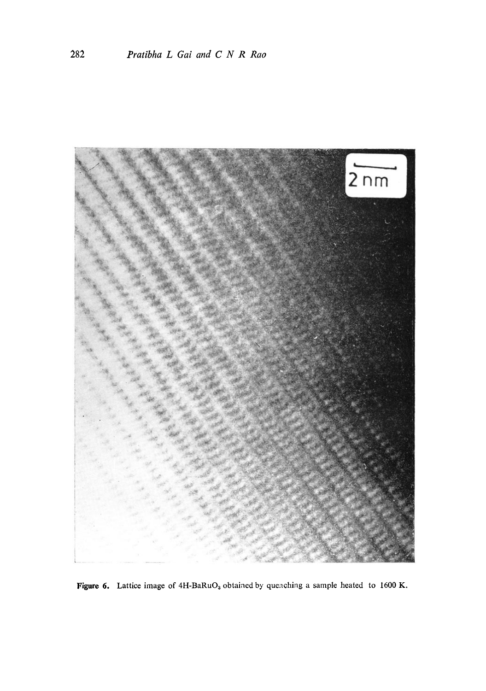

Figure 6. Lattice image of  $4H-BaRuO<sub>3</sub>$  obtained by quenching a sample heated to 1600 K.